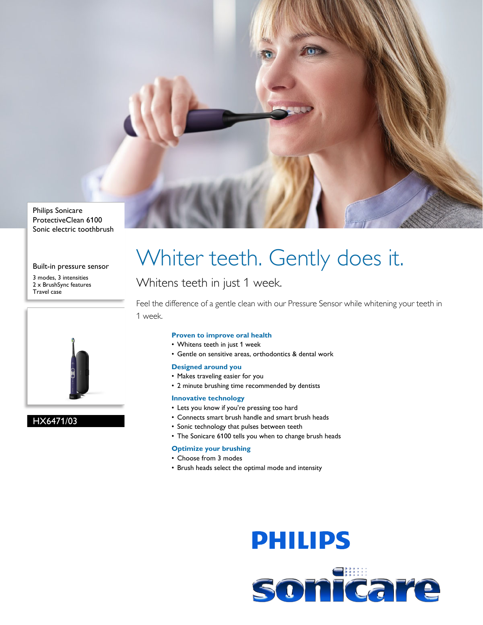

Philips Sonicare ProtectiveClean 6100 Sonic electric toothbrush

#### Built-in pressure sensor

3 modes, 3 intensities 2 x BrushSync features Travel case



#### HX6471/03

## Whiter teeth. Gently does it.

### Whitens teeth in just 1 week.

Feel the difference of a gentle clean with our Pressure Sensor while whitening your teeth in 1 week.

#### **Proven to improve oral health**

- Whitens teeth in just 1 week
- Gentle on sensitive areas, orthodontics & dental work

#### **Designed around you**

- Makes traveling easier for you
- 2 minute brushing time recommended by dentists

#### **Innovative technology**

- Lets you know if you're pressing too hard
- Connects smart brush handle and smart brush heads
- Sonic technology that pulses between teeth
- The Sonicare 6100 tells you when to change brush heads

#### **Optimize your brushing**

- Choose from 3 modes
- Brush heads select the optimal mode and intensity

# **PHILIPS**

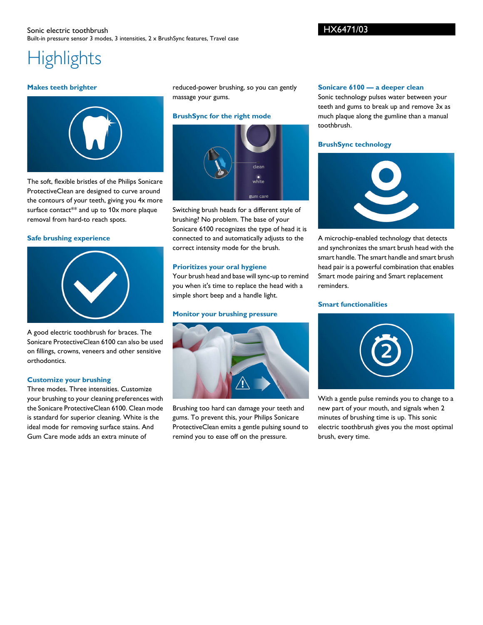#### Sonic electric toothbrush Built-in pressure sensor 3 modes, 3 intensities, 2 x BrushSync features, Travel case

#### HX6471/03

### **Highlights**

#### **Makes teeth brighter**



The soft, flexible bristles of the Philips Sonicare ProtectiveClean are designed to curve around the contours of your teeth, giving you 4x more surface contact\*\* and up to 10x more plaque removal from hard-to reach spots.

#### **Safe brushing experience**



A good electric toothbrush for braces. The Sonicare ProtectiveClean 6100 can also be used on fillings, crowns, veneers and other sensitive orthodontics.

#### **Customize your brushing**

Three modes. Three intensities. Customize your brushing to your cleaning preferences with the Sonicare ProtectiveClean 6100. Clean mode is standard for superior cleaning. White is the ideal mode for removing surface stains. And Gum Care mode adds an extra minute of

reduced-power brushing, so you can gently massage your gums.

#### **BrushSync for the right mode**



Switching brush heads for a different style of brushing? No problem. The base of your Sonicare 6100 recognizes the type of head it is connected to and automatically adjusts to the correct intensity mode for the brush.

#### **Prioritizes your oral hygiene**

Your brush head and base will sync-up to remind you when it's time to replace the head with a simple short beep and a handle light.

#### **Monitor your brushing pressure**



Brushing too hard can damage your teeth and gums. To prevent this, your Philips Sonicare ProtectiveClean emits a gentle pulsing sound to remind you to ease off on the pressure.

#### **Sonicare 6100 — a deeper clean**

Sonic technology pulses water between your teeth and gums to break up and remove 3x as much plaque along the gumline than a manual toothbrush.

#### **BrushSync technology**



A microchip-enabled technology that detects and synchronizes the smart brush head with the smart handle. The smart handle and smart brush head pair is a powerful combination that enables Smart mode pairing and Smart replacement reminders.

#### **Smart functionalities**



With a gentle pulse reminds you to change to a new part of your mouth, and signals when 2 minutes of brushing time is up. This sonic electric toothbrush gives you the most optimal brush, every time.